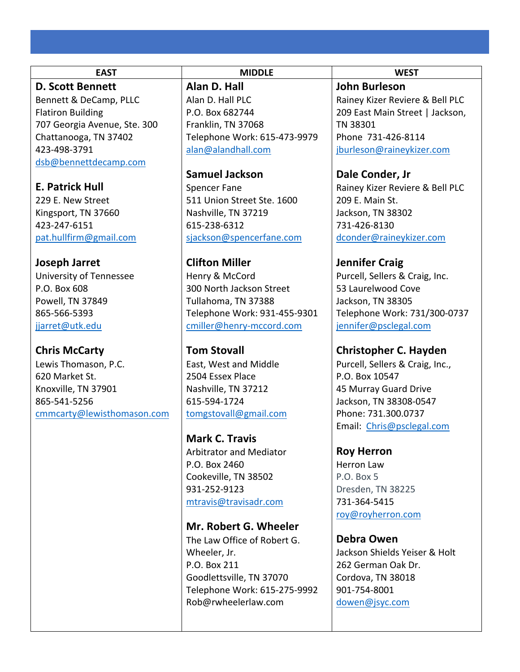### **D. Scott Bennett**

Bennett & DeCamp, PLLC Flatiron Building 707 Georgia Avenue, Ste. 300 Chattanooga, TN 37402 423-498-3791 dsb@bennettdecamp.com

**E. Patrick Hull** 

229 E. New Street Kingsport, TN 37660 423-247-6151 pat.hullfirm@gmail.com

## **Joseph Jarret**

University of Tennessee P.O. Box 608 Powell, TN 37849 865-566-5393 jjarret@utk.edu

# **Chris McCarty**

Lewis Thomason, P.C. 620 Market St. Knoxville, TN 37901 865-541-5256 cmmcarty@lewisthomason.com **Alan D. Hall**  Alan D. Hall PLC P.O. Box 682744 Franklin, TN 37068 Telephone Work: 615-473-9979 alan@alandhall.com

**Samuel Jackson** Spencer Fane 511 Union Street Ste. 1600 Nashville, TN 37219 615-238-6312 sjackson@spencerfane.com

**Clifton Miller**  Henry & McCord 300 North Jackson Street Tullahoma, TN 37388 Telephone Work: 931-455-9301 cmiller@henry-mccord.com

**Tom Stovall**  East, West and Middle 2504 Essex Place Nashville, TN 37212 615-594-1724 tomgstovall@gmail.com

**Mark C. Travis**  Arbitrator and Mediator P.O. Box 2460 Cookeville, TN 38502 931-252-9123 mtravis@travisadr.com

**Mr. Robert G. Wheeler**

The Law Office of Robert G. Wheeler, Jr. P.O. Box 211 Goodlettsville, TN 37070 Telephone Work: 615-275-9992 Rob@rwheelerlaw.com

**EAST MIDDLE WEST**

**John Burleson** Rainey Kizer Reviere & Bell PLC 209 East Main Street | Jackson, TN 38301 Phone 731-426-8114 jburleson@raineykizer.com

**Dale Conder, Jr** 

Rainey Kizer Reviere & Bell PLC 209 E. Main St. Jackson, TN 38302 731-426-8130 dconder@raineykizer.com

# **Jennifer Craig**

Purcell, Sellers & Craig, Inc. 53 Laurelwood Cove Jackson, TN 38305 Telephone Work: 731/300-0737 jennifer@psclegal.com

**Christopher C. Hayden**

Purcell, Sellers & Craig, Inc., P.O. Box 10547 45 Murray Guard Drive Jackson, TN 38308-0547 Phone: 731.300.0737 Email: Chris@psclegal.com

**Roy Herron**

Herron Law P.O. Box 5 Dresden, TN 38225 731-364-5415 roy@royherron.com

**Debra Owen** 

Jackson Shields Yeiser & Holt 262 German Oak Dr. Cordova, TN 38018 901-754-8001 dowen@jsyc.com